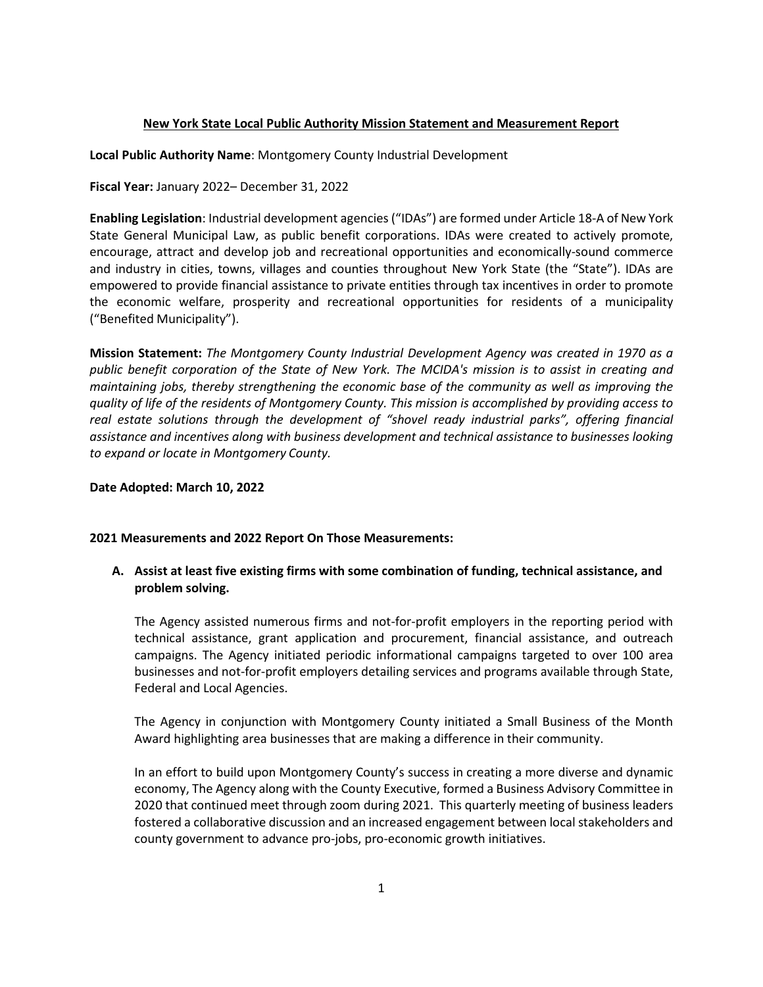### **New York State Local Public Authority Mission Statement and Measurement Report**

**Local Public Authority Name**: Montgomery County Industrial Development

**Fiscal Year:** January 2022– December 31, 2022

**Enabling Legislation**: Industrial development agencies ("IDAs") are formed under Article 18-A of New York State General Municipal Law, as public benefit corporations. IDAs were created to actively promote, encourage, attract and develop job and recreational opportunities and economically-sound commerce and industry in cities, towns, villages and counties throughout New York State (the "State"). IDAs are empowered to provide financial assistance to private entities through tax incentives in order to promote the economic welfare, prosperity and recreational opportunities for residents of a municipality ("Benefited Municipality").

**Mission Statement:** *The Montgomery County Industrial Development Agency was created in 1970 as a public benefit corporation of the State of New York. The MCIDA's mission is to assist in creating and maintaining jobs, thereby strengthening the economic base of the community as well as improving the quality of life of the residents of Montgomery County. This mission is accomplished by providing access to real estate solutions through the development of "shovel ready industrial parks", offering financial assistance and incentives along with business development and technical assistance to businesses looking to expand or locate in Montgomery County.*

### **Date Adopted: March 10, 2022**

#### **2021 Measurements and 2022 Report On Those Measurements:**

# **A. Assist at least five existing firms with some combination of funding, technical assistance, and problem solving.**

The Agency assisted numerous firms and not-for-profit employers in the reporting period with technical assistance, grant application and procurement, financial assistance, and outreach campaigns. The Agency initiated periodic informational campaigns targeted to over 100 area businesses and not-for-profit employers detailing services and programs available through State, Federal and Local Agencies.

The Agency in conjunction with Montgomery County initiated a Small Business of the Month Award highlighting area businesses that are making a difference in their community.

In an effort to build upon Montgomery County's success in creating a more diverse and dynamic economy, The Agency along with the County Executive, formed a Business Advisory Committee in 2020 that continued meet through zoom during 2021. This quarterly meeting of business leaders fostered a collaborative discussion and an increased engagement between local stakeholders and county government to advance pro-jobs, pro-economic growth initiatives.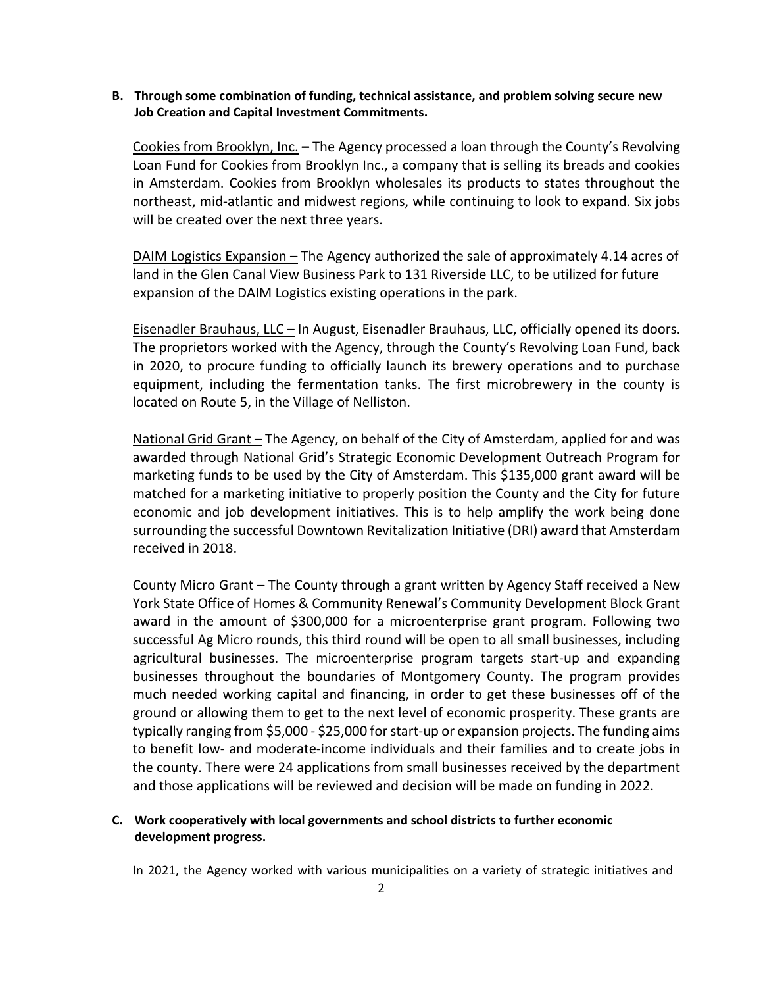## **B. Through some combination of funding, technical assistance, and problem solving secure new Job Creation and Capital Investment Commitments.**

Cookies from Brooklyn, Inc. **–** The Agency processed a loan through the County's Revolving Loan Fund for Cookies from Brooklyn Inc., a company that is selling its breads and cookies in Amsterdam. Cookies from Brooklyn wholesales its products to states throughout the northeast, mid-atlantic and midwest regions, while continuing to look to expand. Six jobs will be created over the next three years.

DAIM Logistics Expansion – The Agency authorized the sale of approximately 4.14 acres of land in the Glen Canal View Business Park to 131 Riverside LLC, to be utilized for future expansion of the DAIM Logistics existing operations in the park.

Eisenadler Brauhaus, LLC – In August, Eisenadler Brauhaus, LLC, officially opened its doors. The proprietors worked with the Agency, through the County's Revolving Loan Fund, back in 2020, to procure funding to officially launch its brewery operations and to purchase equipment, including the fermentation tanks. The first microbrewery in the county is located on Route 5, in the Village of Nelliston.

National Grid Grant – The Agency, on behalf of the City of Amsterdam, applied for and was awarded through National Grid's Strategic Economic Development Outreach Program for marketing funds to be used by the City of Amsterdam. This \$135,000 grant award will be matched for a marketing initiative to properly position the County and the City for future economic and job development initiatives. This is to help amplify the work being done surrounding the successful Downtown Revitalization Initiative (DRI) award that Amsterdam received in 2018.

County Micro Grant – The County through a grant written by Agency Staff received a New York State Office of Homes & Community Renewal's Community Development Block Grant award in the amount of \$300,000 for a microenterprise grant program. Following two successful Ag Micro rounds, this third round will be open to all small businesses, including agricultural businesses. The microenterprise program targets start-up and expanding businesses throughout the boundaries of Montgomery County. The program provides much needed working capital and financing, in order to get these businesses off of the ground or allowing them to get to the next level of economic prosperity. These grants are typically ranging from \$5,000 - \$25,000 for start-up or expansion projects. The funding aims to benefit low- and moderate-income individuals and their families and to create jobs in the county. There were 24 applications from small businesses received by the department and those applications will be reviewed and decision will be made on funding in 2022.

# **C. Work cooperatively with local governments and school districts to further economic development progress.**

In 2021, the Agency worked with various municipalities on a variety of strategic initiatives and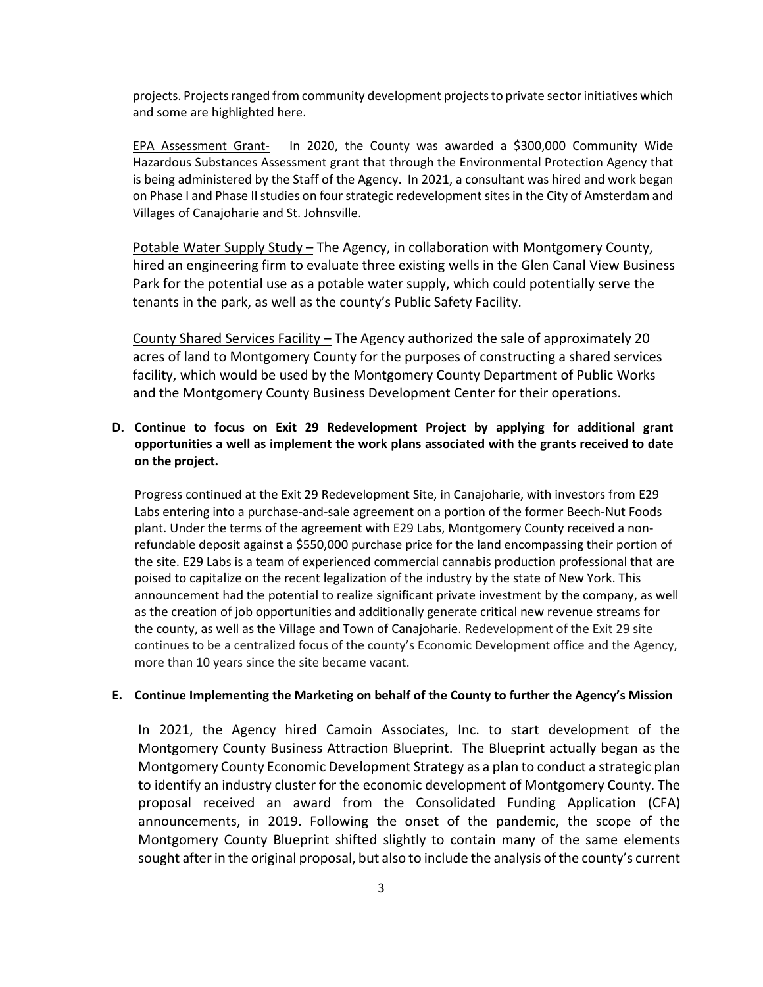projects. Projects ranged from community development projects to private sector initiatives which and some are highlighted here.

EPA Assessment Grant- In 2020, the County was awarded a \$300,000 Community Wide Hazardous Substances Assessment grant that through the Environmental Protection Agency that is being administered by the Staff of the Agency. In 2021, a consultant was hired and work began on Phase I and Phase II studies on four strategic redevelopment sitesin the City of Amsterdam and Villages of Canajoharie and St. Johnsville.

Potable Water Supply Study – The Agency, in collaboration with Montgomery County, hired an engineering firm to evaluate three existing wells in the Glen Canal View Business Park for the potential use as a potable water supply, which could potentially serve the tenants in the park, as well as the county's Public Safety Facility.

County Shared Services Facility – The Agency authorized the sale of approximately 20 acres of land to Montgomery County for the purposes of constructing a shared services facility, which would be used by the Montgomery County Department of Public Works and the Montgomery County Business Development Center for their operations.

# **D. Continue to focus on Exit 29 Redevelopment Project by applying for additional grant opportunities a well as implement the work plans associated with the grants received to date on the project.**

Progress continued at the Exit 29 Redevelopment Site, in Canajoharie, with investors from E29 Labs entering into a purchase-and-sale agreement on a portion of the former Beech-Nut Foods plant. Under the terms of the agreement with E29 Labs, Montgomery County received a nonrefundable deposit against a \$550,000 purchase price for the land encompassing their portion of the site. E29 Labs is a team of experienced commercial cannabis production professional that are poised to capitalize on the recent legalization of the industry by the state of New York. This announcement had the potential to realize significant private investment by the company, as well as the creation of job opportunities and additionally generate critical new revenue streams for the county, as well as the Village and Town of Canajoharie. Redevelopment of the Exit 29 site continues to be a centralized focus of the county's Economic Development office and the Agency, more than 10 years since the site became vacant.

#### **E. Continue Implementing the Marketing on behalf of the County to further the Agency's Mission**

In 2021, the Agency hired Camoin Associates, Inc. to start development of the Montgomery County Business Attraction Blueprint. The Blueprint actually began as the Montgomery County Economic Development Strategy as a plan to conduct a strategic plan to identify an industry cluster for the economic development of Montgomery County. The proposal received an award from the Consolidated Funding Application (CFA) announcements, in 2019. Following the onset of the pandemic, the scope of the Montgomery County Blueprint shifted slightly to contain many of the same elements sought after in the original proposal, but also to include the analysis of the county's current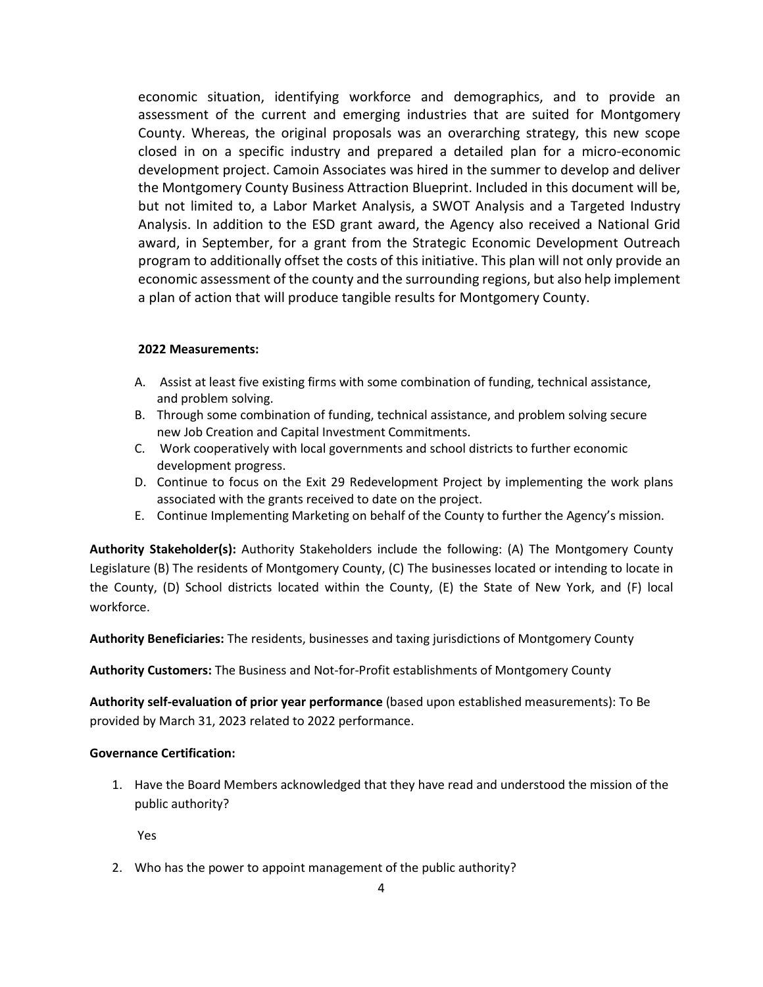economic situation, identifying workforce and demographics, and to provide an assessment of the current and emerging industries that are suited for Montgomery County. Whereas, the original proposals was an overarching strategy, this new scope closed in on a specific industry and prepared a detailed plan for a micro-economic development project. Camoin Associates was hired in the summer to develop and deliver the Montgomery County Business Attraction Blueprint. Included in this document will be, but not limited to, a Labor Market Analysis, a SWOT Analysis and a Targeted Industry Analysis. In addition to the ESD grant award, the Agency also received a National Grid award, in September, for a grant from the Strategic Economic Development Outreach program to additionally offset the costs of this initiative. This plan will not only provide an economic assessment of the county and the surrounding regions, but also help implement a plan of action that will produce tangible results for Montgomery County.

### **2022 Measurements:**

- A. Assist at least five existing firms with some combination of funding, technical assistance, and problem solving.
- B. Through some combination of funding, technical assistance, and problem solving secure new Job Creation and Capital Investment Commitments.
- C. Work cooperatively with local governments and school districts to further economic development progress.
- D. Continue to focus on the Exit 29 Redevelopment Project by implementing the work plans associated with the grants received to date on the project.
- E. Continue Implementing Marketing on behalf of the County to further the Agency's mission.

**Authority Stakeholder(s):** Authority Stakeholders include the following: (A) The Montgomery County Legislature (B) The residents of Montgomery County, (C) The businesses located or intending to locate in the County, (D) School districts located within the County, (E) the State of New York, and (F) local workforce.

**Authority Beneficiaries:** The residents, businesses and taxing jurisdictions of Montgomery County

**Authority Customers:** The Business and Not-for-Profit establishments of Montgomery County

**Authority self-evaluation of prior year performance** (based upon established measurements): To Be provided by March 31, 2023 related to 2022 performance.

### **Governance Certification:**

1. Have the Board Members acknowledged that they have read and understood the mission of the public authority?

Yes

2. Who has the power to appoint management of the public authority?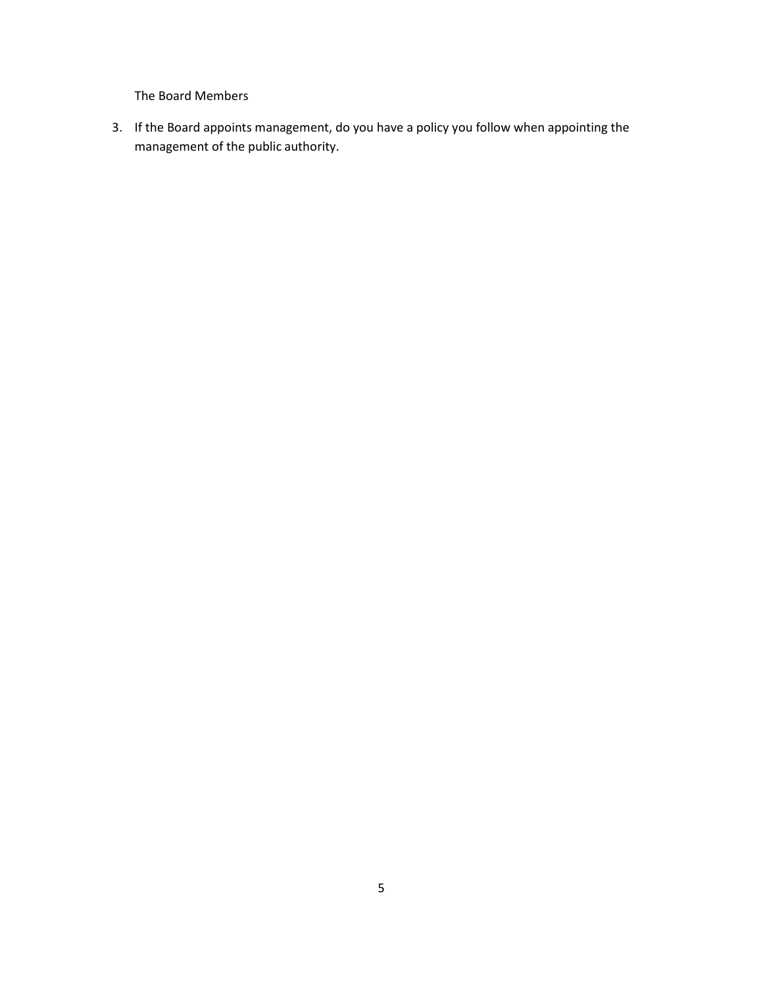The Board Members

3. If the Board appoints management, do you have a policy you follow when appointing the management of the public authority.